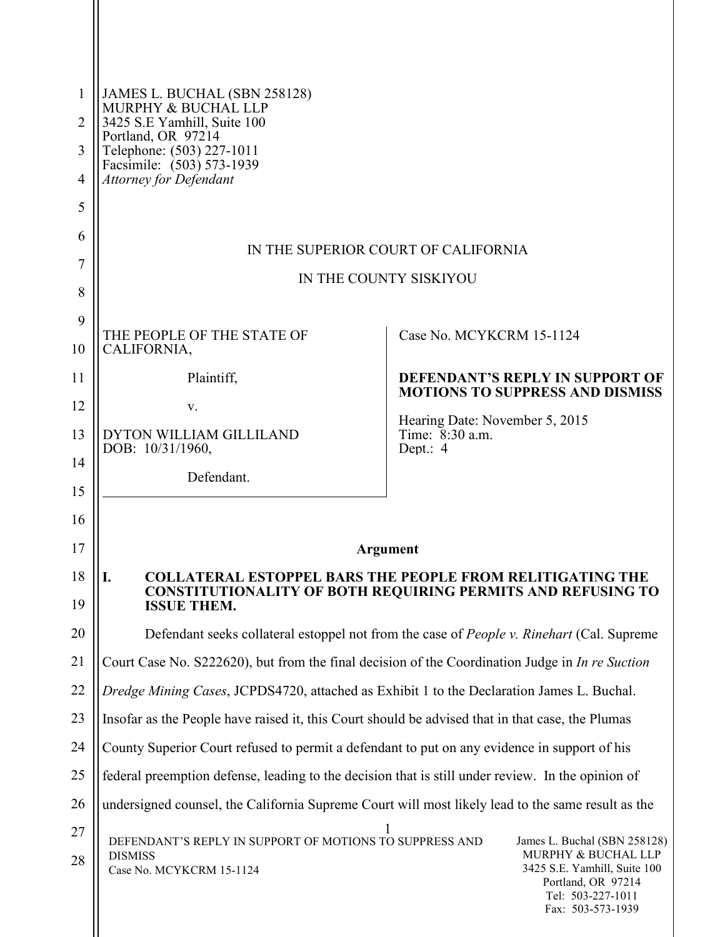| 1              | JAMES L. BUCHAL (SBN 258128)                                                                                                                                                                                                            |                                                                                  |
|----------------|-----------------------------------------------------------------------------------------------------------------------------------------------------------------------------------------------------------------------------------------|----------------------------------------------------------------------------------|
| $\overline{2}$ | MURPHY & BUCHAL LLP<br>3425 S.E Yamhill, Suite 100                                                                                                                                                                                      |                                                                                  |
| 3              | Portland, OR 97214<br>Telephone: (503) 227-1011                                                                                                                                                                                         |                                                                                  |
| $\overline{4}$ | Facsimile: (503) 573-1939<br><b>Attorney for Defendant</b>                                                                                                                                                                              |                                                                                  |
| 5              |                                                                                                                                                                                                                                         |                                                                                  |
| 6              | IN THE SUPERIOR COURT OF CALIFORNIA                                                                                                                                                                                                     |                                                                                  |
| 7              | IN THE COUNTY SISKIYOU                                                                                                                                                                                                                  |                                                                                  |
| 8              |                                                                                                                                                                                                                                         |                                                                                  |
| 9              | THE PEOPLE OF THE STATE OF                                                                                                                                                                                                              | Case No. MCYKCRM 15-1124                                                         |
| 10             | CALIFORNIA,                                                                                                                                                                                                                             |                                                                                  |
| 11             | Plaintiff,                                                                                                                                                                                                                              | <b>DEFENDANT'S REPLY IN SUPPORT OF</b><br><b>MOTIONS TO SUPPRESS AND DISMISS</b> |
| 12             | V.                                                                                                                                                                                                                                      | Hearing Date: November 5, 2015                                                   |
| 13             | DYTON WILLIAM GILLILAND<br>DOB: 10/31/1960,                                                                                                                                                                                             | Time: 8:30 a.m.<br>Dept.: 4                                                      |
| 14             | Defendant.                                                                                                                                                                                                                              |                                                                                  |
| 15             |                                                                                                                                                                                                                                         |                                                                                  |
| 16             |                                                                                                                                                                                                                                         |                                                                                  |
| 17             | Argument                                                                                                                                                                                                                                |                                                                                  |
| 18<br>19       | <b>COLLATERAL ESTOPPEL BARS THE PEOPLE FROM RELITIGATING THE</b><br>I.<br><b>CONSTITUTIONALITY OF BOTH REQUIRING PERMITS AND REFUSING TO</b><br><b>ISSUE THEM.</b>                                                                      |                                                                                  |
| 20             | Defendant seeks collateral estoppel not from the case of <i>People v. Rinehart</i> (Cal. Supreme                                                                                                                                        |                                                                                  |
| 21             | Court Case No. S222620), but from the final decision of the Coordination Judge in In re Suction                                                                                                                                         |                                                                                  |
| 22             | Dredge Mining Cases, JCPDS4720, attached as Exhibit 1 to the Declaration James L. Buchal.                                                                                                                                               |                                                                                  |
| 23             | Insofar as the People have raised it, this Court should be advised that in that case, the Plumas                                                                                                                                        |                                                                                  |
| 24             | County Superior Court refused to permit a defendant to put on any evidence in support of his                                                                                                                                            |                                                                                  |
| 25             | federal preemption defense, leading to the decision that is still under review. In the opinion of                                                                                                                                       |                                                                                  |
| 26             | undersigned counsel, the California Supreme Court will most likely lead to the same result as the                                                                                                                                       |                                                                                  |
| 27<br>28       | DEFENDANT'S REPLY IN SUPPORT OF MOTIONS TO SUPPRESS AND<br>James L. Buchal (SBN 258128)<br>MURPHY & BUCHAL LLP<br><b>DISMISS</b><br>3425 S.E. Yamhill, Suite 100<br>Case No. MCYKCRM 15-1124<br>Portland, OR 97214<br>Tel: 503-227-1011 |                                                                                  |

 $\parallel$ 

Fax: 503-573-1939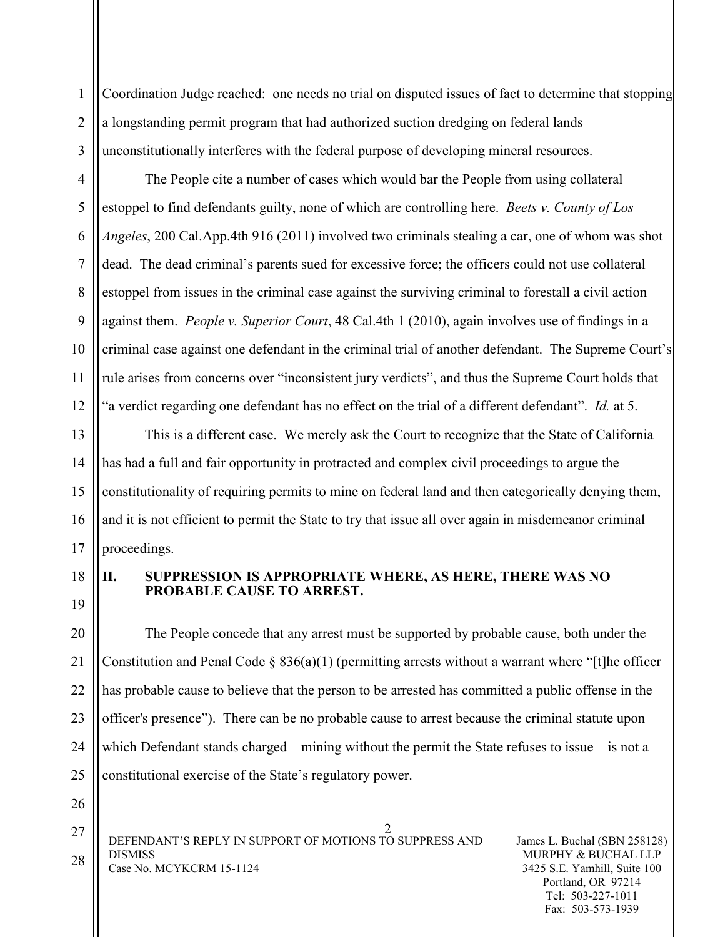1 2 3 Coordination Judge reached: one needs no trial on disputed issues of fact to determine that stopping a longstanding permit program that had authorized suction dredging on federal lands unconstitutionally interferes with the federal purpose of developing mineral resources.

The People cite a number of cases which would bar the People from using collateral estoppel to find defendants guilty, none of which are controlling here. *Beets v. County of Los Angeles*, 200 Cal.App.4th 916 (2011) involved two criminals stealing a car, one of whom was shot dead. The dead criminal's parents sued for excessive force; the officers could not use collateral estoppel from issues in the criminal case against the surviving criminal to forestall a civil action against them. *People v. Superior Court*, 48 Cal.4th 1 (2010), again involves use of findings in a criminal case against one defendant in the criminal trial of another defendant. The Supreme Court's rule arises from concerns over "inconsistent jury verdicts", and thus the Supreme Court holds that "a verdict regarding one defendant has no effect on the trial of a different defendant". *Id.* at 5.

This is a different case. We merely ask the Court to recognize that the State of California has had a full and fair opportunity in protracted and complex civil proceedings to argue the constitutionality of requiring permits to mine on federal land and then categorically denying them, and it is not efficient to permit the State to try that issue all over again in misdemeanor criminal proceedings.

18

4

5

6

7

8

9

10

11

12

13

14

15

16

17

19

## **II. SUPPRESSION IS APPROPRIATE WHERE, AS HERE, THERE WAS NO PROBABLE CAUSE TO ARREST.**

20 21 22 The People concede that any arrest must be supported by probable cause, both under the Constitution and Penal Code  $\S 836(a)(1)$  (permitting arrests without a warrant where "[t]he officer has probable cause to believe that the person to be arrested has committed a public offense in the officer's presence"). There can be no probable cause to arrest because the criminal statute upon which Defendant stands charged—mining without the permit the State refuses to issue—is not a constitutional exercise of the State's regulatory power.

2 DEFENDANT'S REPLY IN SUPPORT OF MOTIONS TO SUPPRESS AND DISMISS Case No. MCYKCRM 15-1124 27 28

James L. Buchal (SBN 258128) MURPHY & BUCHAL LLP 3425 S.E. Yamhill, Suite 100 Portland, OR 97214 Tel: 503-227-1011 Fax: 503-573-1939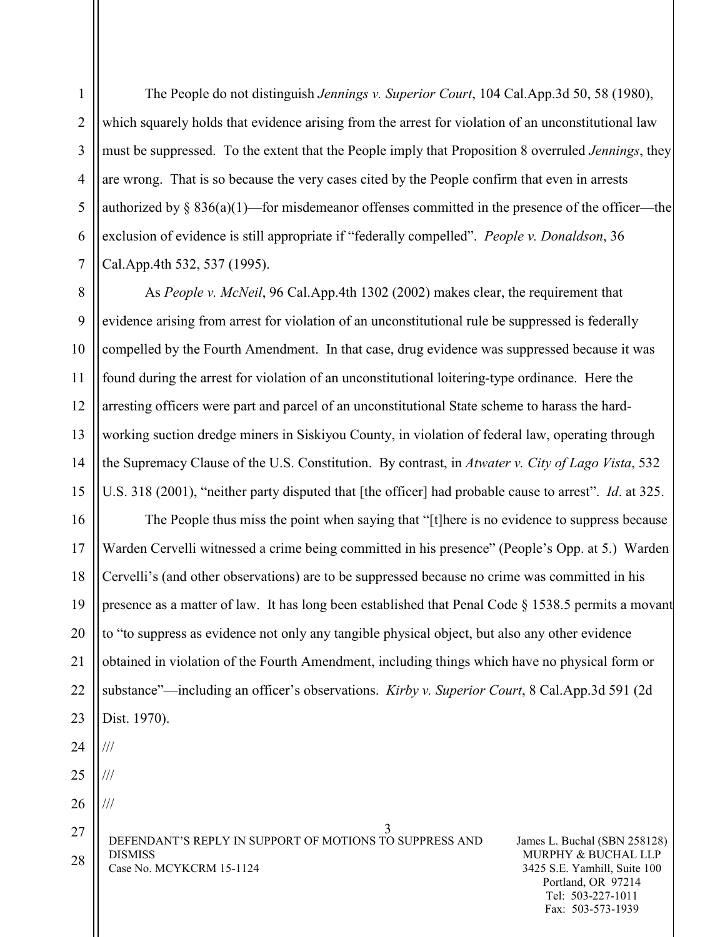The People do not distinguish *Jennings v. Superior Court*, 104 Cal.App.3d 50, 58 (1980), which squarely holds that evidence arising from the arrest for violation of an unconstitutional law must be suppressed. To the extent that the People imply that Proposition 8 overruled *Jennings*, they are wrong. That is so because the very cases cited by the People confirm that even in arrests authorized by  $\S 836(a)(1)$ —for misdemeanor offenses committed in the presence of the officer—the exclusion of evidence is still appropriate if "federally compelled". *People v. Donaldson*, 36 Cal.App.4th 532, 537 (1995).

8 9 10 11 12 13 14 15 As *People v. McNeil*, 96 Cal.App.4th 1302 (2002) makes clear, the requirement that evidence arising from arrest for violation of an unconstitutional rule be suppressed is federally compelled by the Fourth Amendment. In that case, drug evidence was suppressed because it was found during the arrest for violation of an unconstitutional loitering-type ordinance. Here the arresting officers were part and parcel of an unconstitutional State scheme to harass the hardworking suction dredge miners in Siskiyou County, in violation of federal law, operating through the Supremacy Clause of the U.S. Constitution. By contrast, in *Atwater v. City of Lago Vista*, 532 U.S. 318 (2001), "neither party disputed that [the officer] had probable cause to arrest". *Id*. at 325.

16 17 18 19 20 21 22 23 24 The People thus miss the point when saying that "[t]here is no evidence to suppress because Warden Cervelli witnessed a crime being committed in his presence" (People's Opp. at 5.) Warden Cervelli's (and other observations) are to be suppressed because no crime was committed in his presence as a matter of law. It has long been established that Penal Code § 1538.5 permits a movant to "to suppress as evidence not only any tangible physical object, but also any other evidence obtained in violation of the Fourth Amendment, including things which have no physical form or substance"—including an officer's observations. *Kirby v. Superior Court*, 8 Cal.App.3d 591 (2d Dist. 1970). ///

25

///

///

1

2

3

4

5

6

7

26

3 DEFENDANT'S REPLY IN SUPPORT OF MOTIONS TO SUPPRESS AND DISMISS Case No. MCYKCRM 15-1124 27 28

James L. Buchal (SBN 258128) MURPHY & BUCHAL LLP 3425 S.E. Yamhill, Suite 100 Portland, OR 97214 Tel: 503-227-1011 Fax: 503-573-1939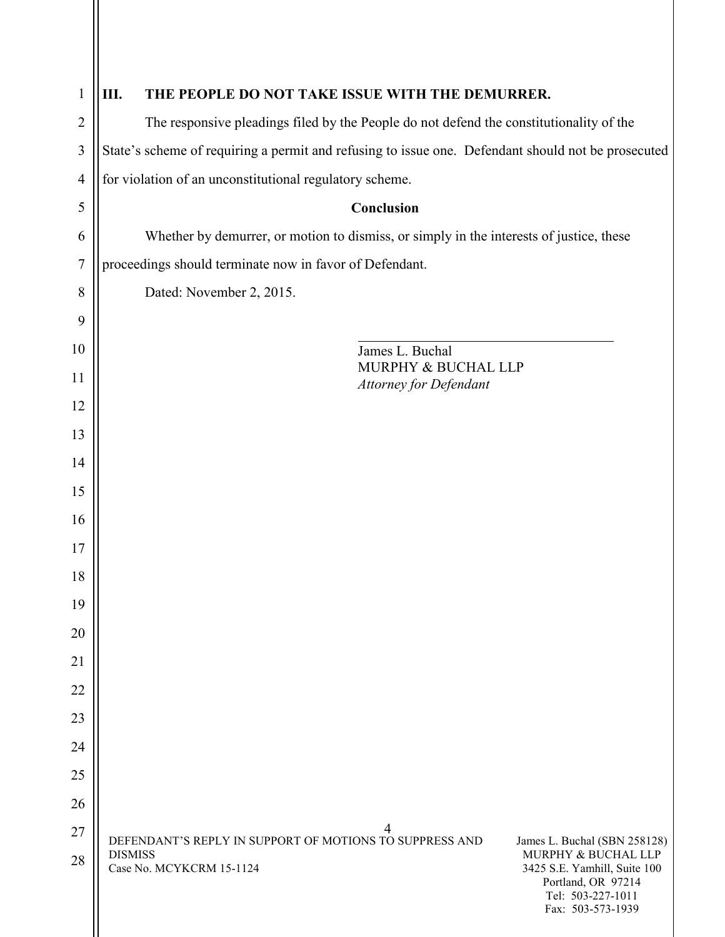| $\mathbf{1}$     | THE PEOPLE DO NOT TAKE ISSUE WITH THE DEMURRER.<br>Ш.                                                                                                                                                                                                        |  |
|------------------|--------------------------------------------------------------------------------------------------------------------------------------------------------------------------------------------------------------------------------------------------------------|--|
| $\overline{2}$   | The responsive pleadings filed by the People do not defend the constitutionality of the                                                                                                                                                                      |  |
| 3                | State's scheme of requiring a permit and refusing to issue one. Defendant should not be prosecuted                                                                                                                                                           |  |
| $\overline{4}$   | for violation of an unconstitutional regulatory scheme.                                                                                                                                                                                                      |  |
| 5                | Conclusion                                                                                                                                                                                                                                                   |  |
| 6                | Whether by demurrer, or motion to dismiss, or simply in the interests of justice, these                                                                                                                                                                      |  |
| $\boldsymbol{7}$ | proceedings should terminate now in favor of Defendant.                                                                                                                                                                                                      |  |
| 8                | Dated: November 2, 2015.                                                                                                                                                                                                                                     |  |
| 9                |                                                                                                                                                                                                                                                              |  |
| 10               | James L. Buchal                                                                                                                                                                                                                                              |  |
| 11               | MURPHY & BUCHAL LLP<br>Attorney for Defendant                                                                                                                                                                                                                |  |
| 12               |                                                                                                                                                                                                                                                              |  |
| 13               |                                                                                                                                                                                                                                                              |  |
| 14               |                                                                                                                                                                                                                                                              |  |
| 15               |                                                                                                                                                                                                                                                              |  |
| 16               |                                                                                                                                                                                                                                                              |  |
| 17               |                                                                                                                                                                                                                                                              |  |
| 18               |                                                                                                                                                                                                                                                              |  |
| 19               |                                                                                                                                                                                                                                                              |  |
| 20               |                                                                                                                                                                                                                                                              |  |
| 21               |                                                                                                                                                                                                                                                              |  |
| 22               |                                                                                                                                                                                                                                                              |  |
| 23               |                                                                                                                                                                                                                                                              |  |
| 24               |                                                                                                                                                                                                                                                              |  |
| 25<br>26         |                                                                                                                                                                                                                                                              |  |
| 27               |                                                                                                                                                                                                                                                              |  |
| 28               | DEFENDANT'S REPLY IN SUPPORT OF MOTIONS TO SUPPRESS AND<br>James L. Buchal (SBN 258128)<br><b>DISMISS</b><br>MURPHY & BUCHAL LLP<br>Case No. MCYKCRM 15-1124<br>3425 S.E. Yamhill, Suite 100<br>Portland, OR 97214<br>Tel: 503-227-1011<br>Fax: 503-573-1939 |  |

 $\mathsf{L}$